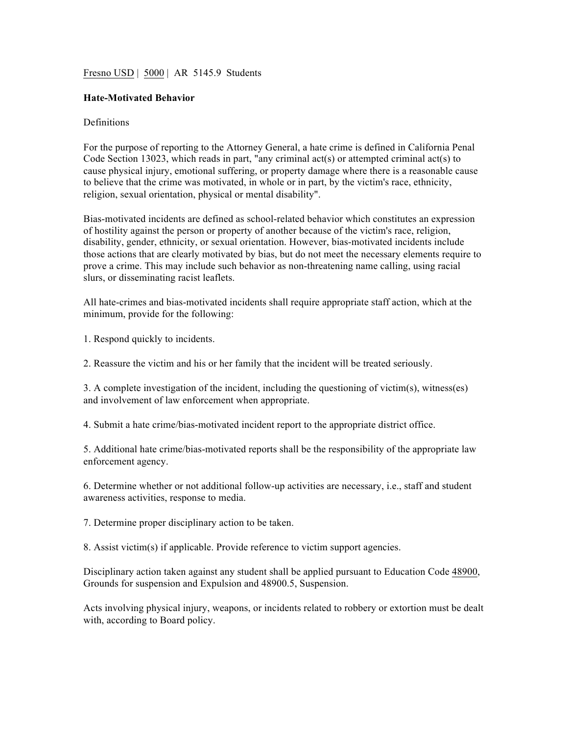## Fresno USD | 5000 | AR 5145.9 Students

## **Hate-Motivated Behavior**

## **Definitions**

For the purpose of reporting to the Attorney General, a hate crime is defined in California Penal Code Section 13023, which reads in part, "any criminal act(s) or attempted criminal act(s) to cause physical injury, emotional suffering, or property damage where there is a reasonable cause to believe that the crime was motivated, in whole or in part, by the victim's race, ethnicity, religion, sexual orientation, physical or mental disability".

Bias-motivated incidents are defined as school-related behavior which constitutes an expression of hostility against the person or property of another because of the victim's race, religion, disability, gender, ethnicity, or sexual orientation. However, bias-motivated incidents include those actions that are clearly motivated by bias, but do not meet the necessary elements require to prove a crime. This may include such behavior as non-threatening name calling, using racial slurs, or disseminating racist leaflets.

All hate-crimes and bias-motivated incidents shall require appropriate staff action, which at the minimum, provide for the following:

1. Respond quickly to incidents.

2. Reassure the victim and his or her family that the incident will be treated seriously.

3. A complete investigation of the incident, including the questioning of victim(s), witness(es) and involvement of law enforcement when appropriate.

4. Submit a hate crime/bias-motivated incident report to the appropriate district office.

5. Additional hate crime/bias-motivated reports shall be the responsibility of the appropriate law enforcement agency.

6. Determine whether or not additional follow-up activities are necessary, i.e., staff and student awareness activities, response to media.

7. Determine proper disciplinary action to be taken.

8. Assist victim(s) if applicable. Provide reference to victim support agencies.

Disciplinary action taken against any student shall be applied pursuant to Education Code 48900, Grounds for suspension and Expulsion and 48900.5, Suspension.

Acts involving physical injury, weapons, or incidents related to robbery or extortion must be dealt with, according to Board policy.